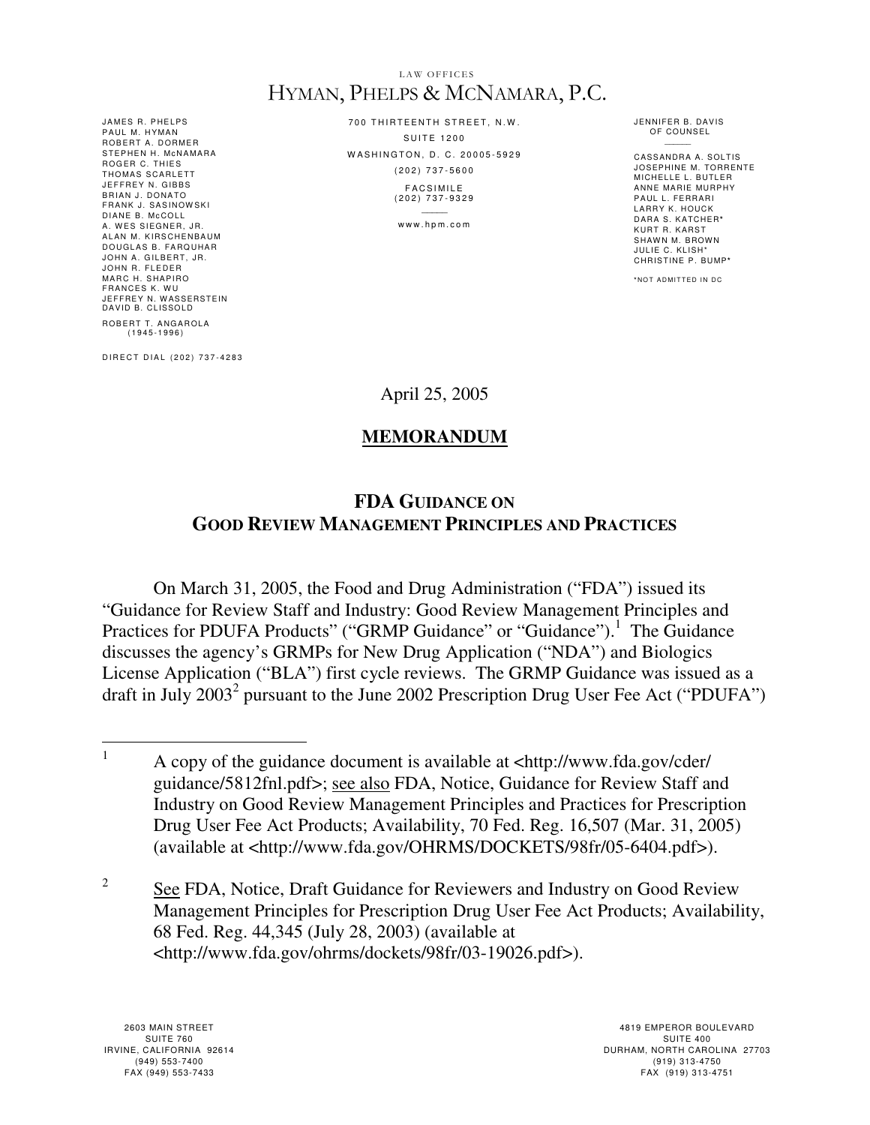## LAW OFFICES HYMAN, PHELPS & MCNAMARA, P.C.

JAMES R. PHELPS PAUL M. HYMAN ROBERT A. DORMER STEPHEN H. MCNAMARA ROGER C. THIES<br>THOMAS SCARLETT JEFFREY N. GIBBS BRIAN J. DONATO FRANK J. SASINOWSKI<br>DIANE B. McCOLL A. WES SIEGNER, JR. ALAN M. KIRSCHENBAUM DOUGLAS B. FARQUHAR JOHN A. GILBERT, JR. JOHN R. FLEDER MARC H. SHAPIRO FRANCES K. WU JEFFREY N. W ASSERSTEIN DAVID B. CLISSOLD ROBERT T. ANGAROLA<br>(1945-1996)

D I R E C T D I A L ( 202 ) 737-4283

700 THIRTEENTH STREET, N.W.  $S$  III T E 1200 WASHINGTON, D. C. 20005-5929 ( 2 0 2 ) 7 3 7 - 5 6 0 0 **FACSIMILE** 

( 2 0 2 ) 7 3 7 - 9 3 2 9  $\mathcal{L}$ 

www.hpm.com

JENNIFER B. DAVIS OF COUNSEL

CASSANDRA A. SOLTIS JOSEPHINE M. TORRENTE MICHELLE L. BUTLER ANNE MARIE MURPHY PAUL L. FERRARI L ARRY K. HOUCK DARA S. KATCHER**\*** KURT R. KARST SHAWN M. BROWN JULIE C. KLISH\* CHRISTINE P. BUMP**\***

**\*** NO T A D MI T T E D I N D C

April 25, 2005

## **MEMORANDUM**

## **FDA GUIDANCE ON GOOD REVIEW MANAGEMENT PRINCIPLES AND PRACTICES**

 On March 31, 2005, the Food and Drug Administration ("FDA") issued its "Guidance for Review Staff and Industry: Good Review Management Principles and Practices for PDUFA Products" ("GRMP Guidance" or "Guidance").<sup>1</sup> The Guidance discusses the agency's GRMPs for New Drug Application ("NDA") and Biologics License Application ("BLA") first cycle reviews. The GRMP Guidance was issued as a draft in July 2003<sup>2</sup> pursuant to the June 2002 Prescription Drug User Fee Act ("PDUFA")

 $\frac{1}{1}$  A copy of the guidance document is available at <http://www.fda.gov/cder/ guidance/5812fnl.pdf>; see also FDA, Notice, Guidance for Review Staff and Industry on Good Review Management Principles and Practices for Prescription Drug User Fee Act Products; Availability, 70 Fed. Reg. 16,507 (Mar. 31, 2005) (available at <http://www.fda.gov/OHRMS/DOCKETS/98fr/05-6404.pdf>).

<sup>2</sup> See FDA, Notice, Draft Guidance for Reviewers and Industry on Good Review Management Principles for Prescription Drug User Fee Act Products; Availability, 68 Fed. Reg. 44,345 (July 28, 2003) (available at <http://www.fda.gov/ohrms/dockets/98fr/03-19026.pdf>).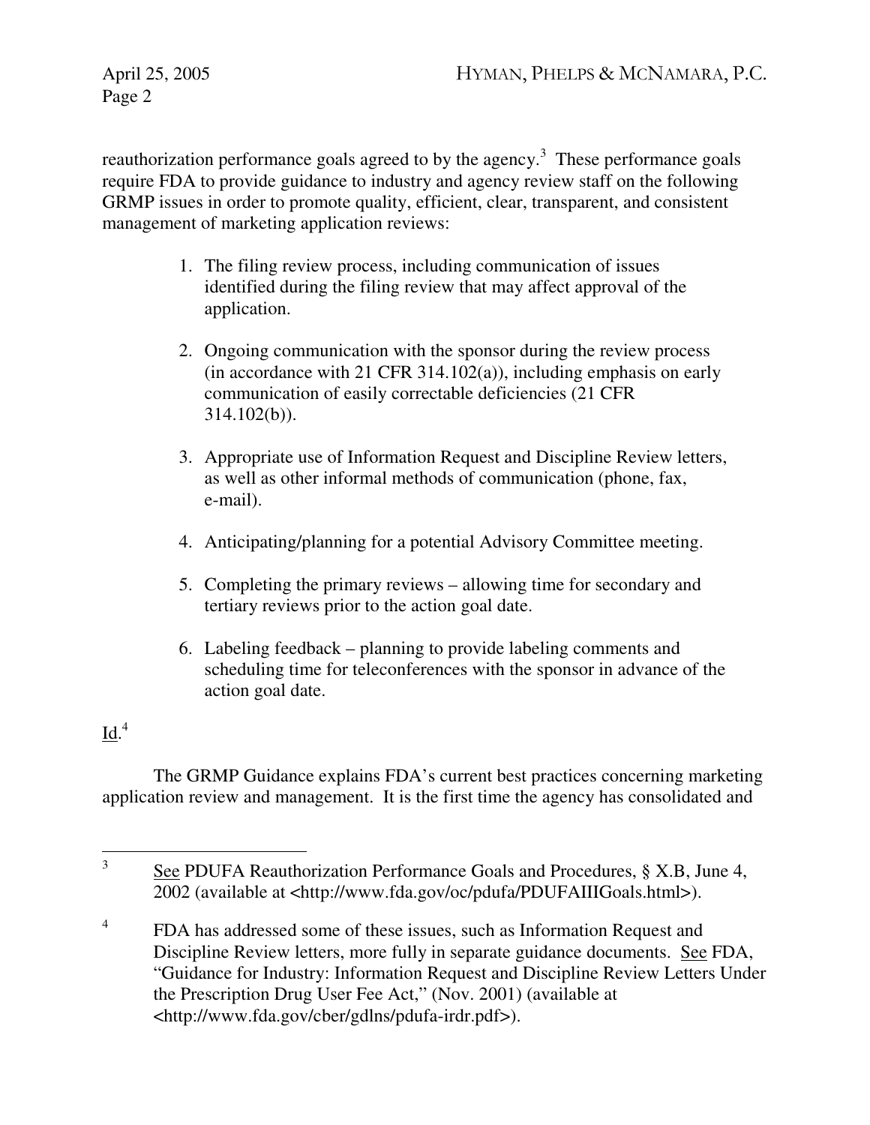Page 2

reauthorization performance goals agreed to by the agency.<sup>3</sup> These performance goals require FDA to provide guidance to industry and agency review staff on the following GRMP issues in order to promote quality, efficient, clear, transparent, and consistent management of marketing application reviews:

- 1. The filing review process, including communication of issues identified during the filing review that may affect approval of the application.
- 2. Ongoing communication with the sponsor during the review process (in accordance with 21 CFR 314.102(a)), including emphasis on early communication of easily correctable deficiencies (21 CFR 314.102(b)).
- 3. Appropriate use of Information Request and Discipline Review letters, as well as other informal methods of communication (phone, fax, e-mail).
- 4. Anticipating/planning for a potential Advisory Committee meeting.
- 5. Completing the primary reviews allowing time for secondary and tertiary reviews prior to the action goal date.
- 6. Labeling feedback planning to provide labeling comments and scheduling time for teleconferences with the sponsor in advance of the action goal date.

## $\underline{\text{Id}}^4$

The GRMP Guidance explains FDA's current best practices concerning marketing application review and management. It is the first time the agency has consolidated and

 $\frac{1}{3}$  See PDUFA Reauthorization Performance Goals and Procedures, § X.B, June 4, 2002 (available at <http://www.fda.gov/oc/pdufa/PDUFAIIIGoals.html>).

<sup>4</sup> FDA has addressed some of these issues, such as Information Request and Discipline Review letters, more fully in separate guidance documents. See FDA, "Guidance for Industry: Information Request and Discipline Review Letters Under the Prescription Drug User Fee Act," (Nov. 2001) (available at <http://www.fda.gov/cber/gdlns/pdufa-irdr.pdf>).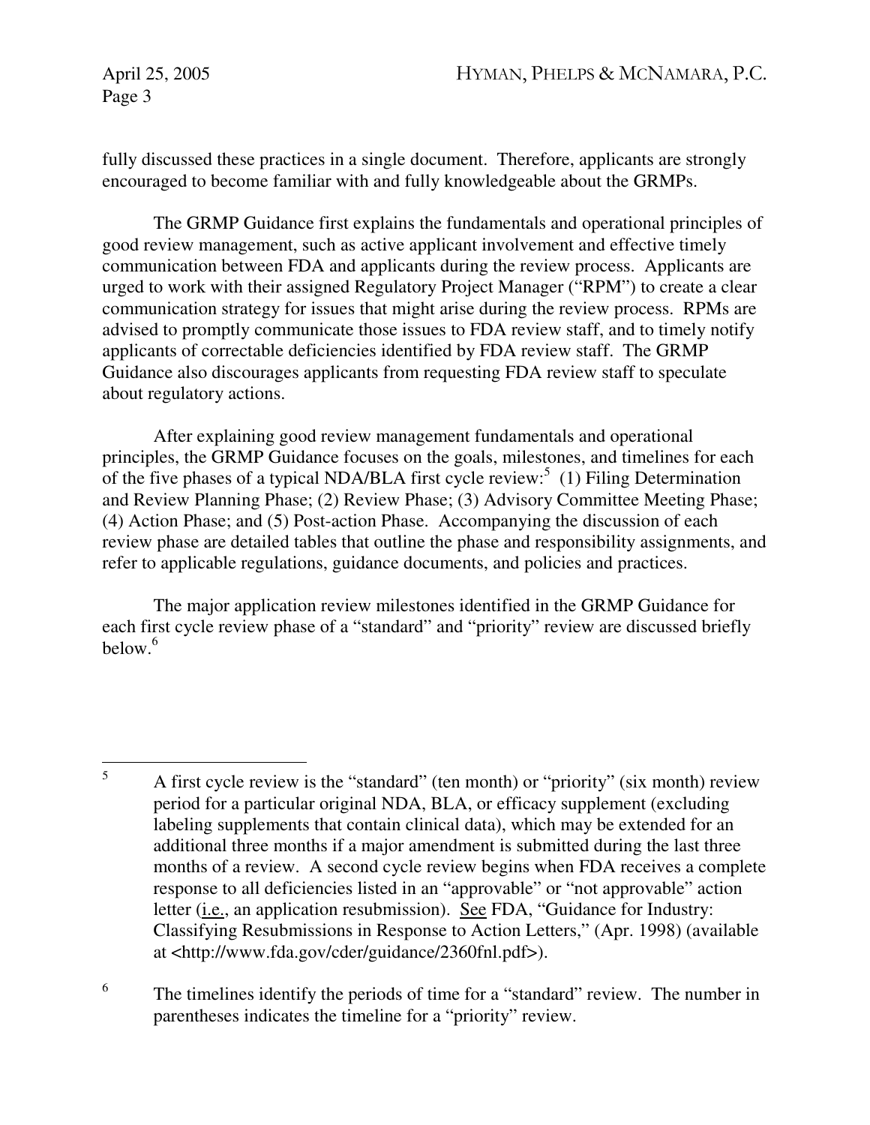Page 3

fully discussed these practices in a single document. Therefore, applicants are strongly encouraged to become familiar with and fully knowledgeable about the GRMPs.

The GRMP Guidance first explains the fundamentals and operational principles of good review management, such as active applicant involvement and effective timely communication between FDA and applicants during the review process. Applicants are urged to work with their assigned Regulatory Project Manager ("RPM") to create a clear communication strategy for issues that might arise during the review process. RPMs are advised to promptly communicate those issues to FDA review staff, and to timely notify applicants of correctable deficiencies identified by FDA review staff. The GRMP Guidance also discourages applicants from requesting FDA review staff to speculate about regulatory actions.

After explaining good review management fundamentals and operational principles, the GRMP Guidance focuses on the goals, milestones, and timelines for each of the five phases of a typical NDA/BLA first cycle review:<sup>5</sup> (1) Filing Determination and Review Planning Phase; (2) Review Phase; (3) Advisory Committee Meeting Phase; (4) Action Phase; and (5) Post-action Phase. Accompanying the discussion of each review phase are detailed tables that outline the phase and responsibility assignments, and refer to applicable regulations, guidance documents, and policies and practices.

The major application review milestones identified in the GRMP Guidance for each first cycle review phase of a "standard" and "priority" review are discussed briefly  $below<sup>6</sup>$ 

6 The timelines identify the periods of time for a "standard" review. The number in parentheses indicates the timeline for a "priority" review.

 5 A first cycle review is the "standard" (ten month) or "priority" (six month) review period for a particular original NDA, BLA, or efficacy supplement (excluding labeling supplements that contain clinical data), which may be extended for an additional three months if a major amendment is submitted during the last three months of a review. A second cycle review begins when FDA receives a complete response to all deficiencies listed in an "approvable" or "not approvable" action letter (i.e., an application resubmission). See FDA, "Guidance for Industry: Classifying Resubmissions in Response to Action Letters," (Apr. 1998) (available at <http://www.fda.gov/cder/guidance/2360fnl.pdf>).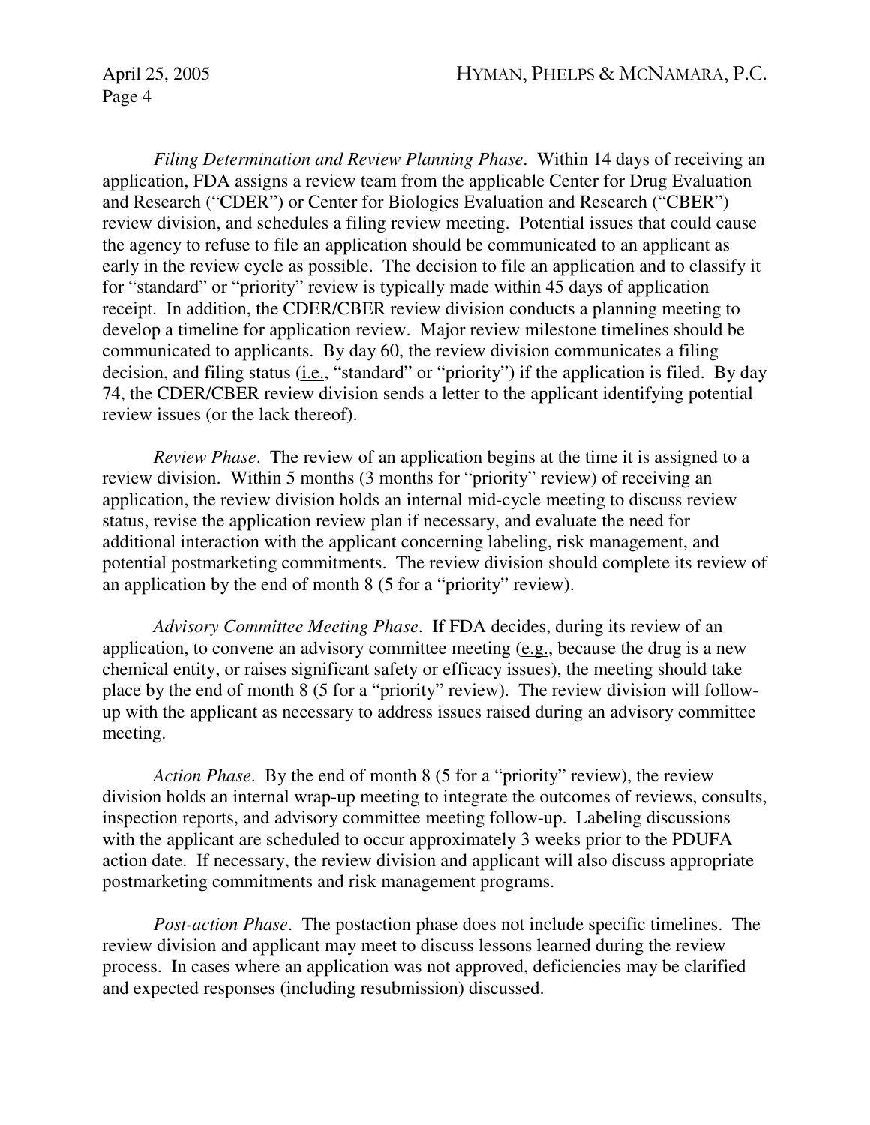*Filing Determination and Review Planning Phase*. Within 14 days of receiving an application, FDA assigns a review team from the applicable Center for Drug Evaluation and Research ("CDER") or Center for Biologics Evaluation and Research ("CBER") review division, and schedules a filing review meeting. Potential issues that could cause the agency to refuse to file an application should be communicated to an applicant as early in the review cycle as possible. The decision to file an application and to classify it for "standard" or "priority" review is typically made within 45 days of application receipt. In addition, the CDER/CBER review division conducts a planning meeting to develop a timeline for application review. Major review milestone timelines should be communicated to applicants. By day 60, the review division communicates a filing decision, and filing status (i.e., "standard" or "priority") if the application is filed. By day 74, the CDER/CBER review division sends a letter to the applicant identifying potential review issues (or the lack thereof).

*Review Phase*. The review of an application begins at the time it is assigned to a review division. Within 5 months (3 months for "priority" review) of receiving an application, the review division holds an internal mid-cycle meeting to discuss review status, revise the application review plan if necessary, and evaluate the need for additional interaction with the applicant concerning labeling, risk management, and potential postmarketing commitments. The review division should complete its review of an application by the end of month 8 (5 for a "priority" review).

*Advisory Committee Meeting Phase*. If FDA decides, during its review of an application, to convene an advisory committee meeting (e.g., because the drug is a new chemical entity, or raises significant safety or efficacy issues), the meeting should take place by the end of month 8 (5 for a "priority" review). The review division will followup with the applicant as necessary to address issues raised during an advisory committee meeting.

*Action Phase*. By the end of month 8 (5 for a "priority" review), the review division holds an internal wrap-up meeting to integrate the outcomes of reviews, consults, inspection reports, and advisory committee meeting follow-up. Labeling discussions with the applicant are scheduled to occur approximately 3 weeks prior to the PDUFA action date. If necessary, the review division and applicant will also discuss appropriate postmarketing commitments and risk management programs.

*Post-action Phase*. The postaction phase does not include specific timelines. The review division and applicant may meet to discuss lessons learned during the review process. In cases where an application was not approved, deficiencies may be clarified and expected responses (including resubmission) discussed.